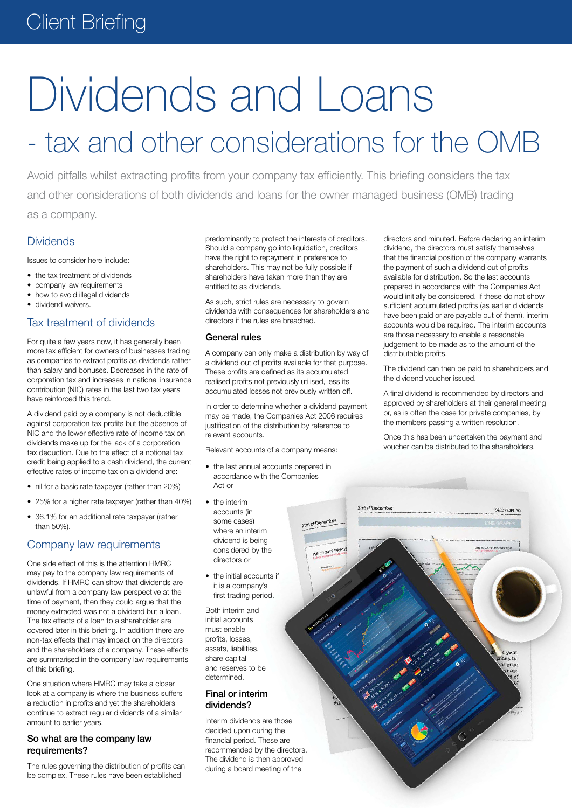### Client Briefing

# Dividends and Loans

## - tax and other considerations for the OMB

Avoid pitfalls whilst extracting profits from your company tax efficiently. This briefing considers the tax and other considerations of both dividends and loans for the owner managed business (OMB) trading as a company.

#### Dividends

Issues to consider here include:

- the tax treatment of dividends
- company law requirements
- how to avoid illegal dividends
- • dividend waivers.

#### Tax treatment of dividends

For quite a few years now, it has generally been more tax efficient for owners of businesses trading as companies to extract profits as dividends rather than salary and bonuses. Decreases in the rate of corporation tax and increases in national insurance contribution (NIC) rates in the last two tax years have reinforced this trend.

A dividend paid by a company is not deductible against corporation tax profits but the absence of NIC and the lower effective rate of income tax on dividends make up for the lack of a corporation tax deduction. Due to the effect of a notional tax credit being applied to a cash dividend, the current effective rates of income tax on a dividend are:

- • nil for a basic rate taxpayer (rather than 20%)
- 25% for a higher rate taxpayer (rather than 40%)
- 36.1% for an additional rate taxpayer (rather than 50%).

#### Company law requirements

One side effect of this is the attention HMRC may pay to the company law requirements of dividends. If HMRC can show that dividends are unlawful from a company law perspective at the time of payment, then they could argue that the money extracted was not a dividend but a loan. The tax effects of a loan to a shareholder are covered later in this briefing. In addition there are non-tax effects that may impact on the directors and the shareholders of a company. These effects are summarised in the company law requirements of this briefing.

One situation where HMRC may take a closer look at a company is where the business suffers a reduction in profits and yet the shareholders continue to extract regular dividends of a similar amount to earlier years.

#### So what are the company law requirements?

The rules governing the distribution of profits can be complex. These rules have been established

predominantly to protect the interests of creditors. Should a company go into liquidation, creditors have the right to repayment in preference to shareholders. This may not be fully possible if shareholders have taken more than they are entitled to as dividends.

As such, strict rules are necessary to govern dividends with consequences for shareholders and directors if the rules are breached.

#### General rules

A company can only make a distribution by way of a dividend out of profits available for that purpose. These profits are defined as its accumulated realised profits not previously utilised, less its accumulated losses not previously written off.

In order to determine whether a dividend payment may be made, the Companies Act 2006 requires justification of the distribution by reference to relevant accounts.

Relevant accounts of a company means:

- the last annual accounts prepared in accordance with the Companies Act or
- • the interim accounts (in some cases) where an interim dividend is being considered by the directors or
- the initial accounts if it is a company's first trading period.

Both interim and initial accounts must enable profits, losses, assets, liabilities, share capital and reserves to be determined.

#### Final or interim dividends?

Interim dividends are those decided upon during the financial period. These are recommended by the directors. The dividend is then approved during a board meeting of the

directors and minuted. Before declaring an interim dividend, the directors must satisfy themselves that the financial position of the company warrants the payment of such a dividend out of profits available for distribution. So the last accounts prepared in accordance with the Companies Act would initially be considered. If these do not show sufficient accumulated profits (as earlier dividends have been paid or are payable out of them), interim accounts would be required. The interim accounts are those necessary to enable a reasonable judgement to be made as to the amount of the distributable profits.

The dividend can then be paid to shareholders and the dividend voucher issued.

A final dividend is recommended by directors and approved by shareholders at their general meeting or, as is often the case for private companies, by the members passing a written resolution.

Once this has been undertaken the payment and voucher can be distributed to the shareholders.